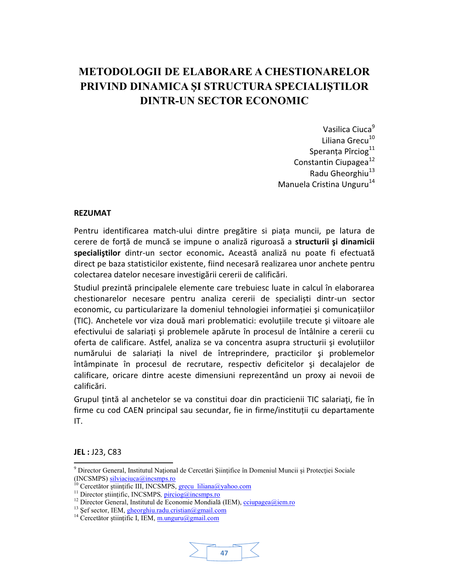# **METODOLOGII DE ELABORARE A CHESTIONARELOR** PRIVIND DINAMICA SI STRUCTURA SPECIALISTILOR **DINTR-UN SECTOR ECONOMIC**

Vasilica Ciuca<sup>9</sup> Liliana Grecu<sup>10</sup> Speranța Pîrciog<sup>11</sup> Constantin Ciupagea<sup>12</sup> Radu Gheorghiu<sup>13</sup> Manuela Cristina Unguru<sup>14</sup>

#### **REZUMAT**

Pentru identificarea match-ului dintre pregătire și piata muncii, pe latura de cerere de forță de muncă se impune o analiză riguroasă a structurii și dinamicii specialiștilor dintr-un sector economic. Această analiză nu poate fi efectuată direct pe baza statisticilor existente, fiind necesară realizarea unor anchete pentru colectarea datelor necesare investigării cererii de calificări.

Studiul prezintă principalele elemente care trebuiesc luate in calcul în elaborarea chestionarelor necesare pentru analiza cererii de specialiști dintr-un sector economic, cu particularizare la domeniul tehnologiei informatiei și comunicațiilor (TIC). Anchetele vor viza două mari problematici: evoluțiile trecute și viitoare ale efectivului de salariați și problemele apărute în procesul de întâlnire a cererii cu oferta de calificare. Astfel, analiza se va concentra asupra structurii și evoluțiilor numărului de salariați la nivel de întreprindere, practicilor și problemelor întâmpinate în procesul de recrutare, respectiv deficitelor și decalajelor de calificare, oricare dintre aceste dimensiuni reprezentând un proxy ai nevoii de calificări.

Grupul țintă al anchetelor se va constitui doar din practicienii TIC salariați, fie în firme cu cod CAEN principal sau secundar, fie in firme/instituții cu departamente IT.

JEL: J23, C83

<sup>&</sup>lt;sup>14</sup> Cercetător științific I, IEM, m.unguru@gmail.com



<sup>&</sup>lt;sup>9</sup> Director General, Institutul National de Cercetări Siintifice în Domeniul Muncii și Protectiei Sociale (INCSMPS) silviaciuca@incsmps.ro

<sup>&</sup>lt;sup>10</sup> Cercetător științific III, INCSMPS, grecu liliana@yahoo.com

<sup>&</sup>lt;sup>11</sup> Director stiintific, INCSMPS, pirciog@incsmps.ro

<sup>&</sup>lt;sup>12</sup> Director General, Institutul de Economie Mondială (IEM), criupagea@iem.ro

<sup>&</sup>lt;sup>13</sup> Sef sector, IEM, gheorghiu.radu.cristian@gmail.com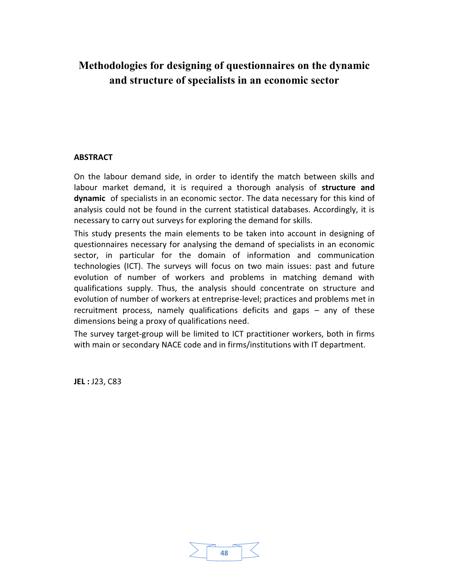# **Methodologies for designing of questionnaires on the dynamic and structure of specialists in an economic sector**

#### **ABSTRACT**

On the labour demand side, in order to identify the match between skills and labour market demand, it is required a thorough analysis of **structure and dynamic** of specialists in an economic sector. The data necessary for this kind of analysis could not be found in the current statistical databases. Accordingly, it is necessary to carry out surveys for exploring the demand for skills.

This study presents the main elements to be taken into account in designing of questionnaires necessary for analysing the demand of specialists in an economic sector, in particular for the domain of information and communication technologies (ICT). The surveys will focus on two main issues: past and future evolution of number of workers and problems in matching demand with qualifications supply. Thus, the analysis should concentrate on structure and evolution of number of workers at entreprise-level; practices and problems met in recruitment process, namely qualifications deficits and gaps  $-$  any of these dimensions being a proxy of qualifications need.

The survey target-group will be limited to ICT practitioner workers, both in firms with main or secondary NACE code and in firms/institutions with IT department.

**JEL :** J23, C83

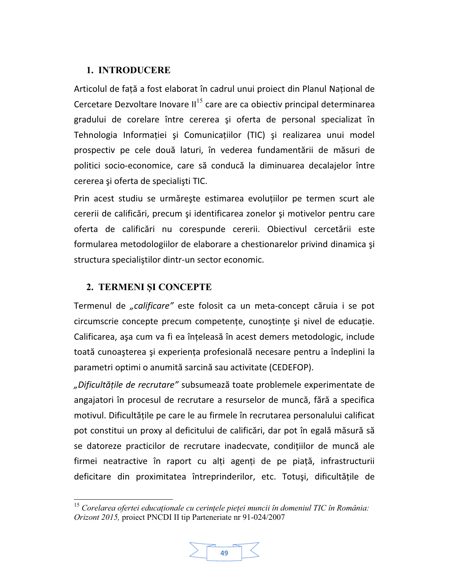# **1. INTRODUCERE**

Articolul de fată a fost elaborat în cadrul unui proiect din Planul National de Cercetare Dezvoltare Inovare II<sup>15</sup> care are ca obiectiv principal determinarea gradului de corelare între cererea și oferta de personal specializat în Tehnologia Informatiei și Comunicatiilor (TIC) și realizarea unui model prospectiv pe cele două laturi, în vederea fundamentării de măsuri de politici socio-economice, care să conducă la diminuarea decalajelor între cererea și oferta de specialiști TIC.

Prin acest studiu se urmărește estimarea evoluțiilor pe termen scurt ale cererii de calificări, precum și identificarea zonelor și motivelor pentru care oferta de calificări nu corespunde cererii. Obiectivul cercetării este formularea metodologiilor de elaborare a chestionarelor privind dinamica și structura specialistilor dintr-un sector economic.

# **2. TERMENI SI CONCEPTE**

-

Termenul de "calificare" este folosit ca un meta-concept căruia i se pot circumscrie concepte precum competențe, cunoștințe și nivel de educație. Calificarea, așa cum va fi ea înțeleasă în acest demers metodologic, include toată cunoasterea și experienta profesională necesare pentru a îndeplini la parametri optimi o anumită sarcină sau activitate (CEDEFOP).

"Dificultățile de recrutare" subsumează toate problemele experimentate de angajatori în procesul de recrutare a resurselor de muncă, fără a specifica motivul. Dificultățile pe care le au firmele în recrutarea personalului calificat pot constitui un proxy al deficitului de calificări, dar pot în egală măsură să se datoreze practicilor de recrutare inadecvate, condițiilor de muncă ale firmei neatractive în raport cu alți agenți de pe piață, infrastructurii deficitare din proximitatea întreprinderilor, etc. Totuși, dificultățile de

<sup>&</sup>lt;sup>15</sup> Corelarea ofertei educaționale cu cerințele pieței muncii în domeniul TIC în România: *Orizont 2015,* proiect PNCDI II tip Parteneriate nr 91-024/2007

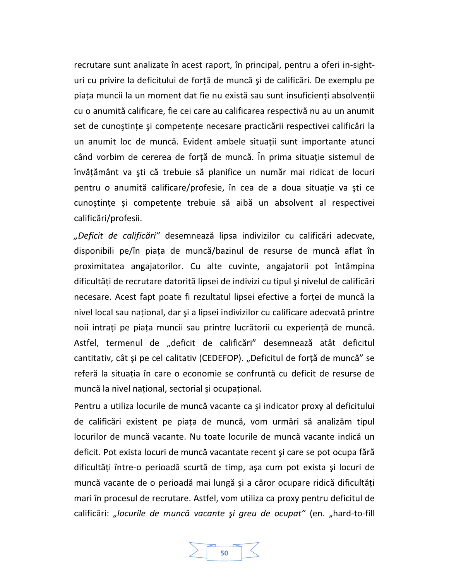recrutare sunt analizate în acest raport, în principal, pentru a oferi in-sighturi cu privire la deficitului de forță de muncă și de calificări. De exemplu pe piața muncii la un moment dat fie nu există sau sunt insuficienți absolvenții cu o anumită calificare, fie cei care au calificarea respectivă nu au un anumit set de cunoștințe și competențe necesare practicării respectivei calificări la un anumit loc de muncă. Evident ambele situații sunt importante atunci când vorbim de cererea de forță de muncă. În prima situație sistemul de învățământ va ști că trebuie să planifice un număr mai ridicat de locuri pentru o anumită calificare/profesie, în cea de a doua situație va ști ce cunoștințe și competențe trebuie să aibă un absolvent al respectivei calificări/profesii.

"Deficit de calificări" desemnează lipsa indivizilor cu calificări adecvate, disponibili pe/în piața de muncă/bazinul de resurse de muncă aflat în proximitatea angajatorilor. Cu alte cuvinte, angajatorii pot întâmpina dificultăți de recrutare datorită lipsei de indivizi cu tipul și nivelul de calificări necesare. Acest fapt poate fi rezultatul lipsei efective a forței de muncă la nivel local sau național, dar și a lipsei indivizilor cu calificare adecvată printre noii intrati pe piata muncii sau printre lucrătorii cu experientă de muncă. Astfel, termenul de "deficit de calificări" desemnează atât deficitul cantitativ, cât și pe cel calitativ (CEDEFOP). "Deficitul de forță de muncă" se referă la situația în care o economie se confruntă cu deficit de resurse de muncă la nivel național, sectorial și ocupațional.

Pentru a utiliza locurile de muncă vacante ca și indicator proxy al deficitului de calificări existent pe piata de muncă, vom urmări să analizăm tipul locurilor de muncă vacante. Nu toate locurile de muncă vacante indică un deficit. Pot exista locuri de muncă vacantate recent și care se pot ocupa fără dificultăți între-o perioadă scurtă de timp, așa cum pot exista și locuri de muncă vacante de o perioadă mai lungă și a căror ocupare ridică dificultăți mari în procesul de recrutare. Astfel, vom utiliza ca proxy pentru deficitul de calificări: "locurile de muncă vacante și greu de ocupat" (en. "hard-to-fill

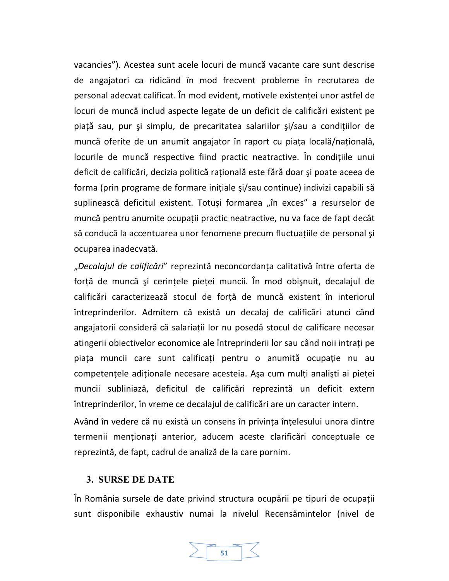vacancies"). Acestea sunt acele locuri de muncă vacante care sunt descrise de angajatori ca ridicând în mod frecvent probleme în recrutarea de personal adecvat calificat. În mod evident, motivele existenței unor astfel de locuri de muncă includ aspecte legate de un deficit de calificări existent pe piață sau, pur și simplu, de precaritatea salariilor și/sau a condițiilor de muncă oferite de un anumit angajator în raport cu piata locală/natională, locurile de muncă respective fiind practic neatractive. În condițiile unui deficit de calificări, decizia politică rațională este fără doar și poate aceea de forma (prin programe de formare inițiale și/sau continue) indivizi capabili să suplinească deficitul existent. Totuși formarea "în exces" a resurselor de muncă pentru anumite ocupații practic neatractive, nu va face de fapt decât să conducă la accentuarea unor fenomene precum fluctuațiile de personal și ocuparea inadecvată.

"Decalajul de calificări" reprezintă neconcordanța calitativă între oferta de forță de muncă și cerințele pieței muncii. În mod obișnuit, decalajul de calificări caracterizează stocul de forță de muncă existent în interiorul întreprinderilor. Admitem că există un decalaj de calificări atunci când angajatorii consideră că salariații lor nu posedă stocul de calificare necesar atingerii obiectivelor economice ale întreprinderii lor sau când noii intrați pe piața muncii care sunt calificați pentru o anumită ocupație nu au competențele adiționale necesare acesteia. Așa cum mulți analiști ai pieței muncii subliniază, deficitul de calificări reprezintă un deficit extern întreprinderilor, în vreme ce decalajul de calificări are un caracter intern.

Având în vedere că nu există un consens în privința înțelesului unora dintre termenii menționați anterior, aducem aceste clarificări conceptuale ce reprezintă, de fapt, cadrul de analiză de la care pornim.

#### **3. SURSE DE DATE**

În România sursele de date privind structura ocupării pe tipuri de ocupații sunt disponibile exhaustiv numai la nivelul Recensămintelor (nivel de

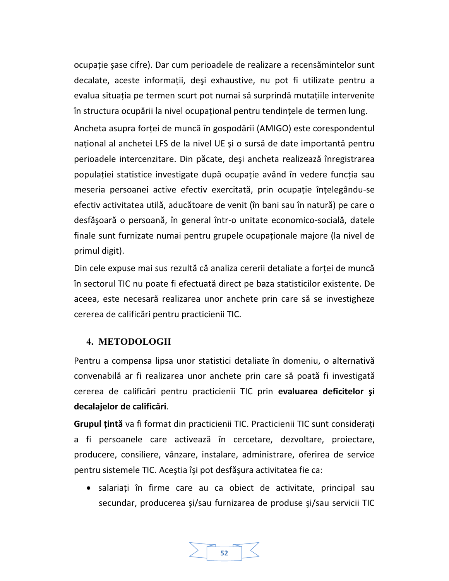ocupație șase cifre). Dar cum perioadele de realizare a recensămintelor sunt decalate, aceste informații, deși exhaustive, nu pot fi utilizate pentru a evalua situația pe termen scurt pot numai să surprindă mutațiile intervenite în structura ocupării la nivel ocupațional pentru tendințele de termen lung.

Ancheta asupra forței de muncă în gospodării (AMIGO) este corespondentul național al anchetei LFS de la nivel UE și o sursă de date importantă pentru perioadele intercenzitare. Din păcate, deși ancheta realizează înregistrarea populației statistice investigate după ocupație având în vedere funcția sau meseria persoanei active efectiv exercitată, prin ocupație înțelegându-se efectiv activitatea utilă, aducătoare de venit (în bani sau în natură) pe care o desfășoară o persoană, în general într-o unitate economico-socială, datele finale sunt furnizate numai pentru grupele ocupationale majore (la nivel de primul digit).

Din cele expuse mai sus rezultă că analiza cererii detaliate a fortei de muncă în sectorul TIC nu poate fi efectuată direct pe baza statisticilor existente. De aceea, este necesară realizarea unor anchete prin care să se investigheze cererea de calificări pentru practicienii TIC.

## **4. METODOLOGII**

Pentru a compensa lipsa unor statistici detaliate în domeniu, o alternativă convenabilă ar fi realizarea unor anchete prin care să poată fi investigată cererea de calificări pentru practicienii TIC prin evaluarea deficitelor și decalajelor de calificări.

**Grupul tintă** va fi format din practicienii TIC. Practicienii TIC sunt considerati a fi persoanele care activează în cercetare, dezvoltare, proiectare, producere, consiliere, vânzare, instalare, administrare, oferirea de service pentru sistemele TIC. Aceștia își pot desfășura activitatea fie ca:

• salariați în firme care au ca obiect de activitate, principal sau secundar, producerea şi/sau furnizarea de produse şi/sau servicii TIC

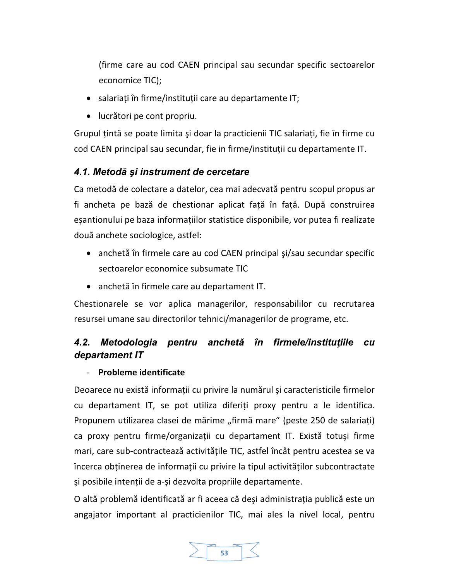(firme care au cod CAEN principal sau secundar specific sectoarelor economice TIC);

- salariați în firme/instituții care au departamente IT;
- lucrători pe cont propriu.

Grupul tintă se poate limita și doar la practicienii TIC salariați, fie în firme cu cod CAEN principal sau secundar, fie in firme/instituții cu departamente IT.

# 4.1. Metodă și instrument de cercetare

Ca metodă de colectare a datelor, cea mai adecvată pentru scopul propus ar fi ancheta pe bază de chestionar aplicat față în față. După construirea esantionului pe baza informațiilor statistice disponibile, vor putea fi realizate două anchete sociologice, astfel:

- anchetă în firmele care au cod CAEN principal și/sau secundar specific sectoarelor economice subsumate TIC
- · anchetă în firmele care au departament IT.

Chestionarele se vor aplica managerilor, responsabililor cu recrutarea resursei umane sau directorilor tehnici/managerilor de programe, etc.

#### $4.2.$ Metodologia pentru anchetă în firmele/instituțiile **CU** departament IT

## - Probleme identificate

Deoarece nu există informații cu privire la numărul și caracteristicile firmelor cu departament IT, se pot utiliza diferiți proxy pentru a le identifica. Propunem utilizarea clasei de mărime "firmă mare" (peste 250 de salariați) ca proxy pentru firme/organizații cu departament IT. Există totuși firme mari, care sub-contractează activitățile TIC, astfel încât pentru acestea se va încerca obținerea de informații cu privire la tipul activităților subcontractate și posibile intenții de a-și dezvolta propriile departamente.

O altă problemă identificată ar fi aceea că deși administrația publică este un angajator important al practicienilor TIC, mai ales la nivel local, pentru

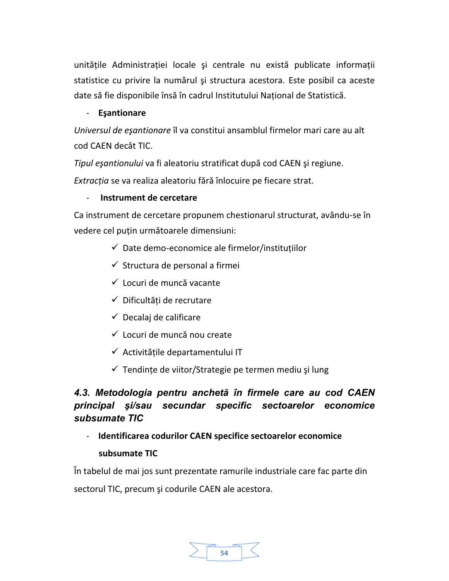unitățile Administrației locale și centrale nu există publicate informații statistice cu privire la numărul și structura acestora. Este posibil ca aceste date să fie disponibile însă în cadrul Institutului Național de Statistică.

# - Esantionare

Universul de esantionare îl va constitui ansamblul firmelor mari care au alt cod CAFN decât TIC.

Tipul eșantionului va fi aleatoriu stratificat după cod CAEN și regiune.

Extracția se va realiza aleatoriu fără înlocuire pe fiecare strat.

## Instrument de cercetare

Ca instrument de cercetare propunem chestionarul structurat, avându-se în vedere cel puțin următoarele dimensiuni:

- ← Date demo-economice ale firmelor/institutiilor
- $\checkmark$  Structura de personal a firmei
- √ Locuri de muncă vacante
- ← Dificultăți de recrutare
- $\checkmark$  Decalaj de calificare
- ✓ Locuri de muncă nou create
- $\checkmark$  Activitățile departamentului IT
- ✓ Tendințe de viitor/Strategie pe termen mediu și lung

# 4.3. Metodologia pentru anchetă în firmele care au cod CAEN principal si/sau secundar specific sectoarelor economice subsumate TIC

- Identificarea codurilor CAEN specifice sectoarelor economice subsumate TIC

În tabelul de mai jos sunt prezentate ramurile industriale care fac parte din sectorul TIC, precum și codurile CAEN ale acestora.

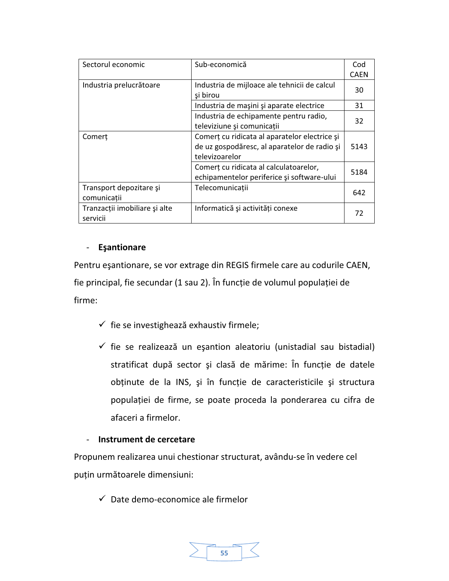| Sectorul economic                         | Sub-economică                                                                                                   | Cod<br><b>CAEN</b> |
|-------------------------------------------|-----------------------------------------------------------------------------------------------------------------|--------------------|
| Industria prelucrătoare                   | Industria de mijloace ale tehnicii de calcul<br>și birou                                                        | 30                 |
|                                           | Industria de mașini și aparate electrice                                                                        | 31                 |
|                                           | Industria de echipamente pentru radio,<br>televiziune și comunicații                                            | 32                 |
| Comert                                    | Comerț cu ridicata al aparatelor electrice și<br>de uz gospodăresc, al aparatelor de radio și<br>televizoarelor | 5143               |
|                                           | Comerț cu ridicata al calculatoarelor,<br>echipamentelor periferice și software-ului                            | 5184               |
| Transport depozitare și<br>comunicații    | Telecomunicații                                                                                                 | 642                |
| Tranzacții imobiliare și alte<br>servicii | Informatică și activități conexe                                                                                | 72                 |

#### - **Esantionare**

Pentru eşantionare, se vor extrage din REGIS firmele care au codurile CAEN, fie principal, fie secundar (1 sau 2). În funcție de volumul populației de firme:

- $\checkmark$  fie se investighează exhaustiv firmele;
- $\checkmark$  fie se realizează un eșantion aleatoriu (unistadial sau bistadial) stratificat după sector și clasă de mărime: În funcție de datele obținute de la INS, și în funcție de caracteristicile și structura populației de firme, se poate proceda la ponderarea cu cifra de afaceri a firmelor.

#### - **Instrument de cercetare**

Propunem realizarea unui chestionar structurat, avându-se în vedere cel puțin următoarele dimensiuni:

 $\checkmark$  Date demo-economice ale firmelor

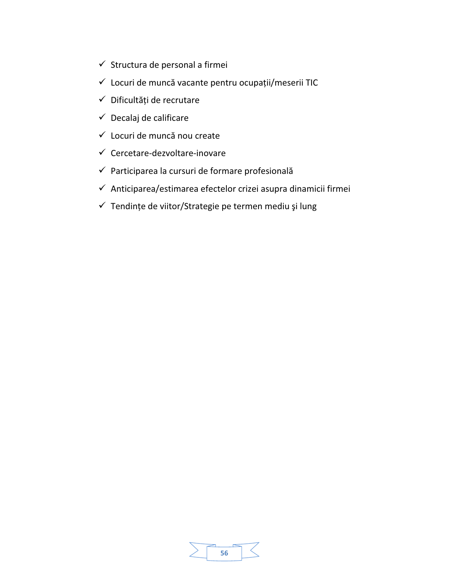- $\checkmark$  Structura de personal a firmei
- $\checkmark$  Locuri de muncă vacante pentru ocupații/meserii TIC
- √ Dificultăți de recrutare
- $\checkmark$  Decalaj de calificare
- √ Locuri de muncă nou create
- $\checkmark$  Cercetare-dezvoltare-inovare
- ◆ Participarea la cursuri de formare profesională
- $\checkmark$  Anticiparea/estimarea efectelor crizei asupra dinamicii firmei
- √ Tendințe de viitor/Strategie pe termen mediu și lung

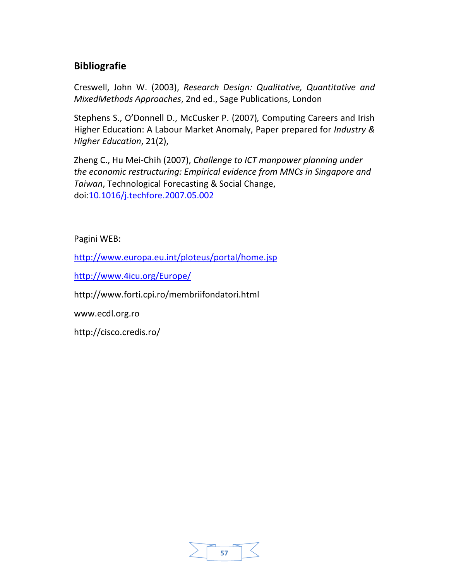# **Bibliografie**

Creswell, John W. (2003), *Research Design: Qualitative, Quantitative and MixedMethods Approaches*, 2nd ed., Sage Publications, London

Stephens S., O'Donnell D., McCusker P. (2007), Computing Careers and Irish Higher Education: A Labour Market Anomaly, Paper prepared for *Industry & Higher Education*, 21(2),

Zheng C., Hu Mei-Chih (2007), *Challenge to ICT manpower planning under the economic restructuring: Empirical evidence from MNCs in Singapore and Taiwan*, Technological Forecasting & Social Change, doi:10.1016/j.techfore.2007.05.002

Pagini WEB:

http://www.europa.eu.int/ploteus/portal/home.jsp

http://www.4icu.org/Europe/

http://www.forti.cpi.ro/membriifondatori.html

www.ecdl.org.ro

http://cisco.credis.ro/

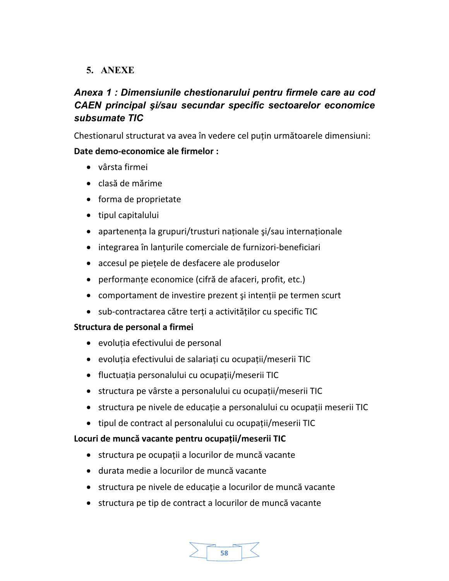# 5. ANEXE

# Anexa 1 : Dimensiunile chestionarului pentru firmele care au cod CAEN principal și/sau secundar specific sectoarelor economice subsumate TIC

Chestionarul structurat va avea în vedere cel putin următoarele dimensiuni:

# Date demo-economice ale firmelor :

- vârsta firmei
- clasă de mărime
- forma de proprietate
- tipul capitalului
- apartenența la grupuri/trusturi naționale și/sau internaționale
- integrarea în lanturile comerciale de furnizori-beneficiari
- accesul pe piețele de desfacere ale produselor
- performanțe economice (cifră de afaceri, profit, etc.)
- comportament de investire prezent și intenții pe termen scurt
- sub-contractarea către terți a activităților cu specific TIC

# Structura de personal a firmei

- evoluția efectivului de personal
- · evoluția efectivului de salariați cu ocupații/meserii TIC
- fluctuația personalului cu ocupații/meserii TIC
- structura pe vârste a personalului cu ocupații/meserii TIC
- structura pe nivele de educație a personalului cu ocupații meserii TIC
- · tipul de contract al personalului cu ocupații/meserii TIC

# Locuri de muncă vacante pentru ocupații/meserii TIC

- structura pe ocupatii a locurilor de muncă vacante
- · durata medie a locurilor de munçã vacante
- structura pe nivele de educație a locurilor de muncă vacante
- structura pe tip de contract a locurilor de muncă vacante

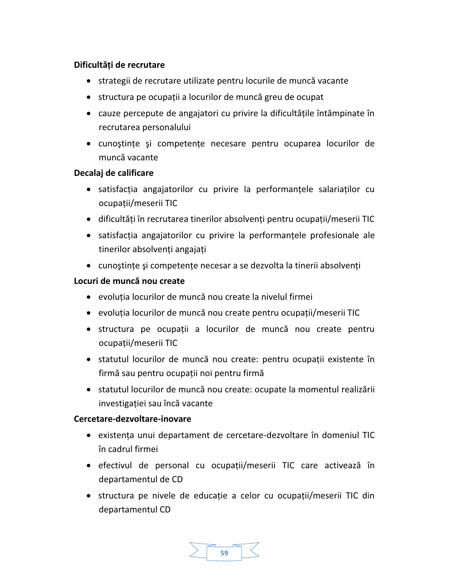# Dificultăți de recrutare

- strategii de recrutare utilizate pentru locurile de muncă vacante
- structura pe ocupații a locurilor de muncă greu de ocupat
- cauze percepute de angajatori cu privire la dificultățile întâmpinate în recrutarea personalului
- cunostințe și competențe necesare pentru ocuparea locurilor de muncă vacante

## Decalaj de calificare

- satisfacția angajatorilor cu privire la performanțele salariaților cu ocupații/meserii TIC
- · dificultăți în recrutarea tinerilor absolvenți pentru ocupații/meserii TIC
- satisfacția angajatorilor cu privire la performanțele profesionale ale tinerilor absolvenți angajați
- cunoștințe și competențe necesar a se dezvolta la tinerii absolvenți

## Locuri de munçã nou create

- evolutia locurilor de muncă nou create la nivelul firmei
- evoluția locurilor de muncă nou create pentru ocupații/meserii TIC
- structura pe ocupații a locurilor de muncă nou create pentru ocupatii/meserii TIC
- statutul locurilor de muncă nou create: pentru ocupații existente în firmă sau pentru ocupații noi pentru firmă
- statutul locurilor de muncă nou create: ocupate la momentul realizării investigației sau încă vacante

## Cercetare-dezvoltare-inovare

- · existența unui departament de cercetare-dezvoltare în domeniul TIC în cadrul firmei
- · efectivul de personal cu ocupații/meserii TIC care activează în departamentul de CD
- structura pe nivele de educație a celor cu ocupații/meserii TIC din departamentul CD

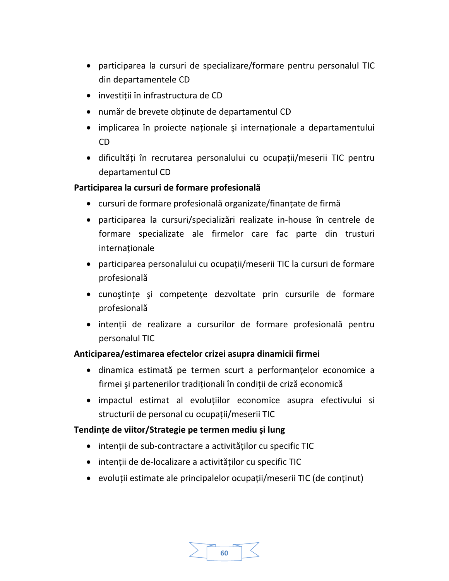- · participarea la cursuri de specializare/formare pentru personalul TIC din departamentele CD
- investitii în infrastructura de CD
- număr de brevete obținute de departamentul CD
- implicarea în proiecte naționale și internaționale a departamentului  $CD$
- · dificultăți în recrutarea personalului cu ocupații/meserii TIC pentru departamentul CD

## Participarea la cursuri de formare profesională

- cursuri de formare profesională organizate/finanțate de firmă
- · participarea la cursuri/specializări realizate in-house în centrele de formare specializate ale firmelor care fac parte din trusturi internationale
- · participarea personalului cu ocupații/meserii TIC la cursuri de formare profesională
- cunostințe și competențe dezvoltate prin cursurile de formare profesională
- · intentii de realizare a cursurilor de formare profesională pentru personalul TIC

## Anticiparea/estimarea efectelor crizei asupra dinamicii firmei

- · dinamica estimată pe termen scurt a performantelor economice a firmei și partenerilor tradiționali în condiții de criză economică
- · impactul estimat al evoluțiilor economice asupra efectivului si structurii de personal cu ocupații/meserii TIC

## Tendințe de viitor/Strategie pe termen mediu și lung

- intenții de sub-contractare a activităților cu specific TIC
- · intenții de de-localizare a activităților cu specific TIC
- evolutii estimate ale principalelor ocupatii/meserii TIC (de continut)

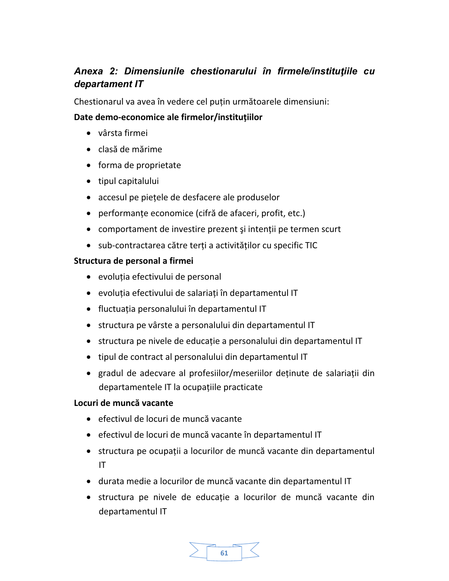# Anexa 2: Dimensiunile chestionarului în firmele/instituțiile cu departament IT

Chestionarul va avea în vedere cel puțin următoarele dimensiuni:

# Date demo-economice ale firmelor/instituțiilor

- vârsta firmei
- clasă de mărime
- forma de proprietate
- tipul capitalului
- accesul pe piețele de desfacere ale produselor
- · performanțe economice (cifră de afaceri, profit, etc.)
- comportament de investire prezent și intenții pe termen scurt
- sub-contractarea către terți a activităților cu specific TIC

#### Structura de personal a firmei

- evoluția efectivului de personal
- evoluția efectivului de salariați în departamentul IT
- fluctuația personalului în departamentul IT
- structura pe vârste a personalului din departamentul IT
- structura pe nivele de educație a personalului din departamentul IT
- tipul de contract al personalului din departamentul IT
- gradul de adecvare al profesiilor/meseriilor deținute de salariații din departamentele IT la ocupațiile practicate

#### Locuri de munçă vacante

- efectivul de locuri de muncă vacante
- efectivul de locuri de muncă vacante în departamentul IT
- structura pe ocupații a locurilor de muncă vacante din departamentul **IT**
- · durata medie a locurilor de muncă vacante din departamentul IT
- structura pe nivele de educatie a locurilor de muncă vacante din departamentul IT

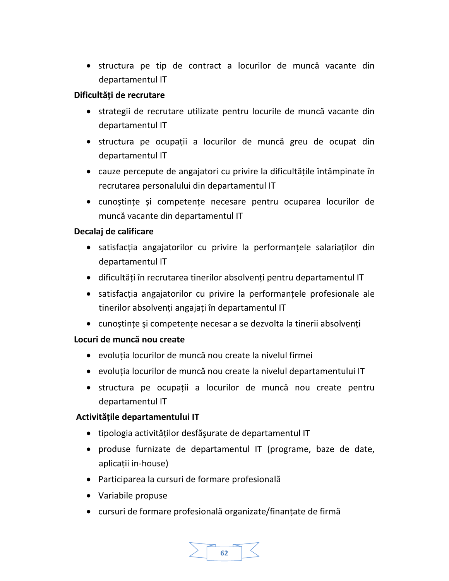• structura pe tip de contract a locurilor de muncă vacante din departamentul IT

# Dificultăți de recrutare

- strategii de recrutare utilizate pentru locurile de muncă vacante din departamentul IT
- structura pe ocupații a locurilor de muncă greu de ocupat din departamentul IT
- cauze percepute de angajatori cu privire la dificultățile întâmpinate în recrutarea personalului din departamentul IT
- cunostințe și competențe necesare pentru ocuparea locurilor de muncă vacante din departamentul IT

# Decalaj de calificare

- · satisfacția angajatorilor cu privire la performanțele salariaților din departamentul IT
- · dificultăți în recrutarea tinerilor absolvenți pentru departamentul IT
- · satisfacția angajatorilor cu privire la performanțele profesionale ale tinerilor absolvenți angajați în departamentul IT
- cunoștințe și competențe necesar a se dezvolta la tinerii absolvenți

# Locuri de munçã nou create

- evolutia locurilor de muncă nou create la nivelul firmei
- evoluția locurilor de muncă nou create la nivelul departamentului IT
- · structura pe ocupații a locurilor de muncă nou create pentru departamentul IT

# Activitățile departamentului IT

- tipologia activităților desfășurate de departamentul IT
- produse furnizate de departamentul IT (programe, baze de date, aplicații in-house)
- Participarea la cursuri de formare profesională
- Variabile propuse
- cursuri de formare profesională organizate/finanțate de firmă